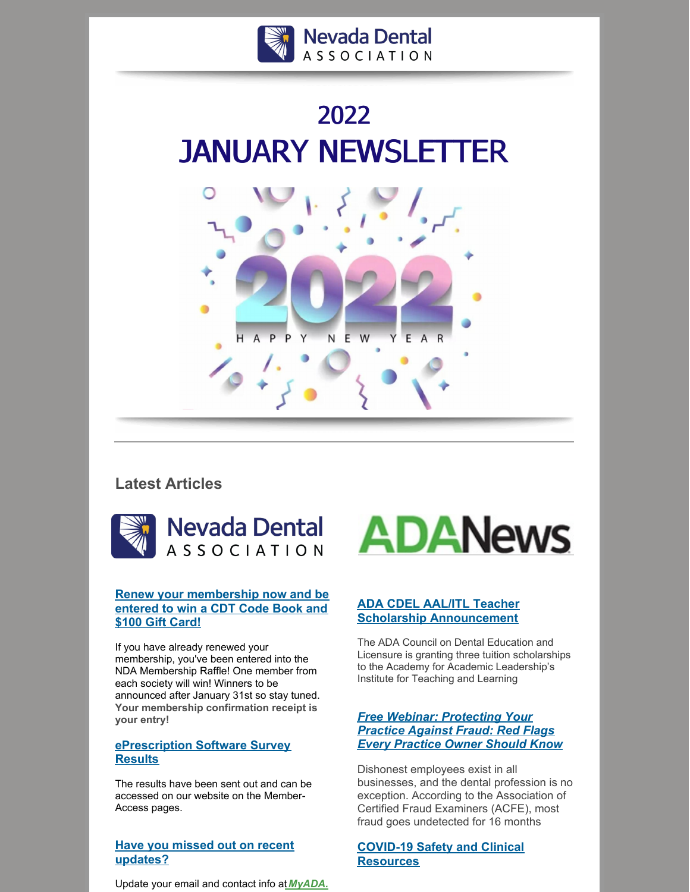





# **Latest Articles**





# **Renew your [membership](https://ebusiness.ada.org/login/loginpo3.aspx?returnURL=/myada/WebDuesRenewalpo3.aspx&PO3ORGAPICODE=NV000WRGF3TCEDF&_ga=2.188564200.1928956431.1641845414-432575692.1605562067) now and be entered to win a CDT Code Book and \$100 Gift Card!**

If you have already renewed your membership, you've been entered into the NDA Membership Raffle! One member from each society will win! Winners to be announced after January 31st so stay tuned. **Your membership confirmation receipt is your entry!**

# **[ePrescription](https://ebusiness.ada.org/login/loginpo3.aspx?PO3ORGAPICODE=NV000WRGF3TCEDF&PO3OrgTargetURL=/advocacy/member) Software Survey Results**

The results have been sent out and can be accessed on our website on the Member-Access pages.

# **Have you missed out on recent [updates?](https://ebusiness.ada.org/login/loginpo3.aspx?PO3ORGAPICODE=NV000WRGF3TCEDF&PO3OrgTargetURL=/advocacy/member)**

Update your email and contact info at *[MyADA.](https://ebusiness.ada.org/login/login.aspx?PO3ORGAPICODE=ADA00022T65FR77&returnURL=/account/profile)*



The ADA Council on Dental Education and Licensure is granting three tuition scholarships to the Academy for Academic Leadership's Institute for Teaching and Learning

# *Free Webinar: [Protecting](https://ebusiness.ada.org/education/viewcourse.aspx?id=625) Your Practice Against Fraud: Red Flags Every Practice Owner Should Know*

Dishonest employees exist in all businesses, and the dental profession is no exception. According to the Association of Certified Fraud Examiners (ACFE), most fraud goes undetected for 16 months

# **COVID-19 Safety and Clinical [Resources](https://www.ada.org/resources/coronavirus/covid-19-practice-resources)**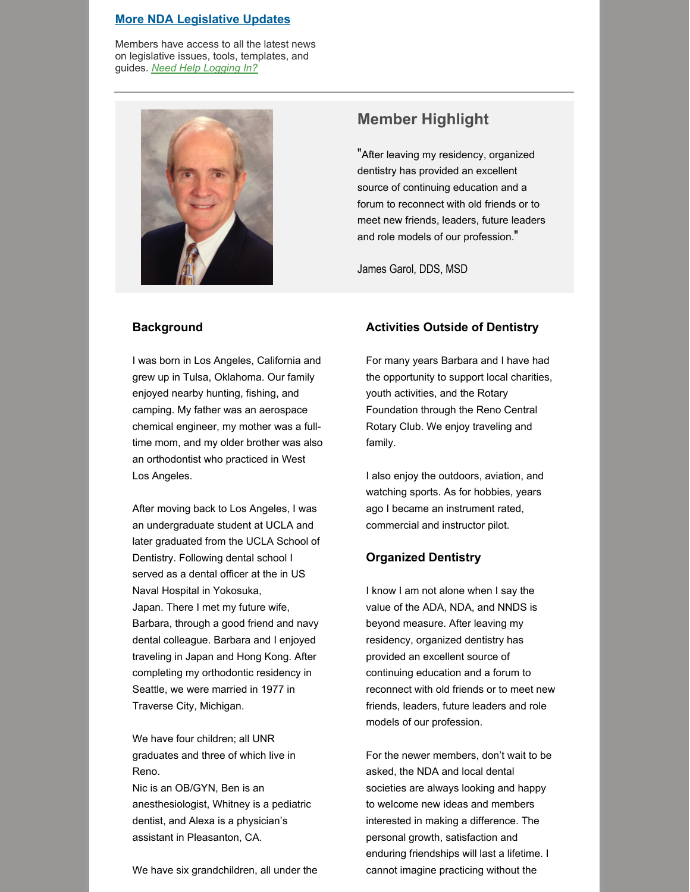#### **More NDA [Legislative](https://www.nvda.org/advocacy/member) Updates**

Members have access to all the latest news on legislative issues, tools, templates, and guides. *Need Help [Logging](https://www.nvda.org/membership/help) In?*



# **Member Highlight**

"After leaving my residency, organized dentistry has provided an excellent source of continuing education and a forum to reconnect with old friends or to meet new friends, leaders, future leaders and role models of our profession."

James Garol, DDS, MSD

### **Background**

I was born in Los Angeles, California and grew up in Tulsa, Oklahoma. Our family enjoyed nearby hunting, fishing, and camping. My father was an aerospace chemical engineer, my mother was a fulltime mom, and my older brother was also an orthodontist who practiced in West Los Angeles.

After moving back to Los Angeles, I was an undergraduate student at UCLA and later graduated from the UCLA School of Dentistry. Following dental school I served as a dental officer at the in US Naval Hospital in Yokosuka, Japan. There I met my future wife, Barbara, through a good friend and navy dental colleague. Barbara and I enjoyed traveling in Japan and Hong Kong. After completing my orthodontic residency in Seattle, we were married in 1977 in Traverse City, Michigan.

We have four children; all UNR graduates and three of which live in Reno.

Nic is an OB/GYN, Ben is an anesthesiologist, Whitney is a pediatric dentist, and Alexa is a physician's assistant in Pleasanton, CA.

We have six grandchildren, all under the

### **Activities Outside of Dentistry**

For many years Barbara and I have had the opportunity to support local charities, youth activities, and the Rotary Foundation through the Reno Central Rotary Club. We enjoy traveling and family.

I also enjoy the outdoors, aviation, and watching sports. As for hobbies, years ago I became an instrument rated, commercial and instructor pilot.

### **Organized Dentistry**

I know I am not alone when I say the value of the ADA, NDA, and NNDS is beyond measure. After leaving my residency, organized dentistry has provided an excellent source of continuing education and a forum to reconnect with old friends or to meet new friends, leaders, future leaders and role models of our profession.

For the newer members, don't wait to be asked, the NDA and local dental societies are always looking and happy to welcome new ideas and members interested in making a difference. The personal growth, satisfaction and enduring friendships will last a lifetime. I cannot imagine practicing without the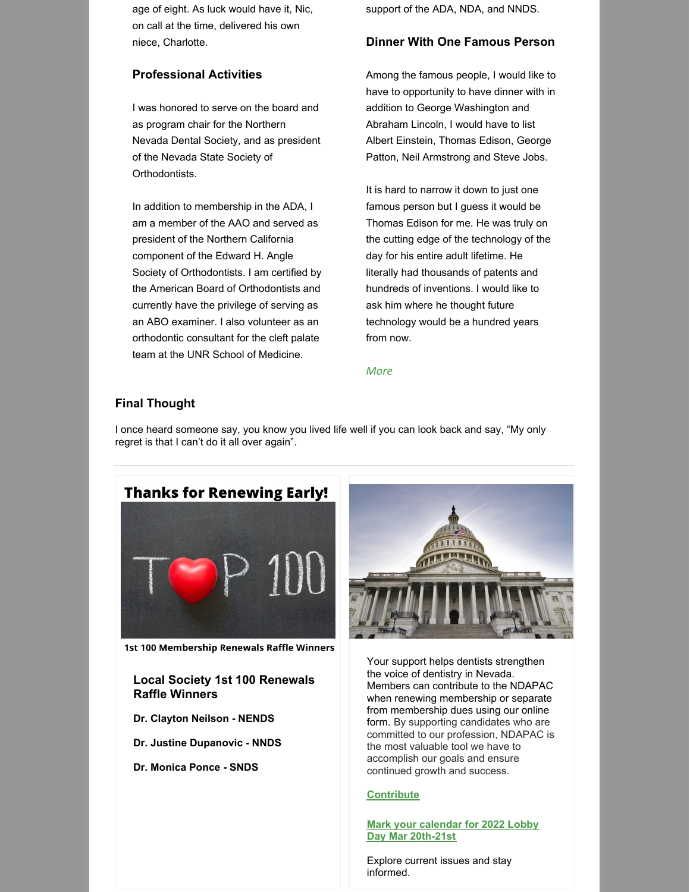age of eight. As luck would have it, Nic, on call at the time, delivered his own niece, Charlotte.

# **Professional Activities**

I was honored to serve on the board and as program chair for the Northern Nevada Dental Society, and as president of the Nevada State Society of Orthodontists.

In addition to membership in the ADA, I am a member of the AAO and served as president of the Northern California component of the Edward H. Angle Society of Orthodontists. I am certified by the American Board of Orthodontists and currently have the privilege of serving as an ABO examiner. I also volunteer as an orthodontic consultant for the cleft palate team at the UNR School of Medicine.

support of the ADA, NDA, and NNDS.

### **Dinner With One Famous Person**

Among the famous people, I would like to have to opportunity to have dinner with in addition to George Washington and Abraham Lincoln, I would have to list Albert Einstein, Thomas Edison, George Patton, Neil Armstrong and Steve Jobs.

It is hard to narrow it down to just one famous person but I guess it would be Thomas Edison for me. He was truly on the cutting edge of the technology of the day for his entire adult lifetime. He literally had thousands of patents and hundreds of inventions. I would like to ask him where he thought future technology would be a hundred years from now.

#### *[More](https://www.nvda.org/advocacy/publications/monthly-newsletter-articles)*

# **Final Thought**

I once heard someone say, you know you lived life well if you can look back and say, "My only regret is that I can't do it all over again".



1st 100 Membership Renewals Raffle Winners

# **Local Society 1st 100 Renewals Raffle Winners**

- **Dr. Clayton Neilson - NENDS**
- **Dr. Justine Dupanovic - NNDS**
- **Dr. Monica Ponce - SNDS**



Your support helps dentists strengthen the voice of dentistry in Nevada. Members can contribute to the NDAPAC when renewing membership or separate from membership dues using our online form. By supporting candidates who are committed to our profession, NDAPAC is the most valuable tool we have to accomplish our goals and ensure continued growth and success.

#### **[Contribute](https://www.nvda.org/advocacy/ndapac)**

#### **Mark your calendar for 2022 Lobby Day Mar [20th-21st](https://www.ada.org/advocacy/advocacy-dentist-and-student-lobby-day)**

Explore current issues and stay informed.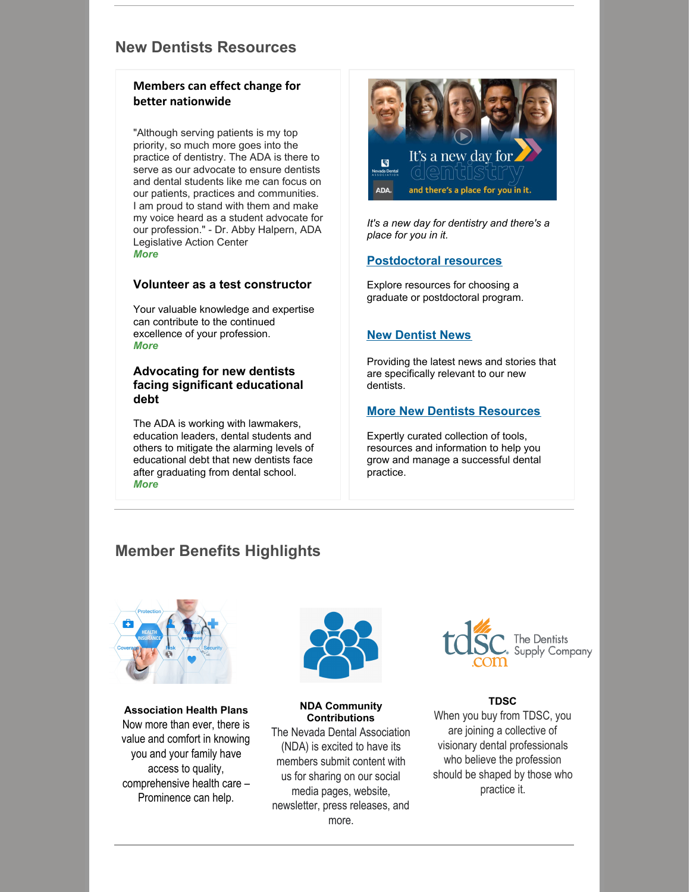# **New Dentists Resources**

# **Members can effect change for better nationwide**

"Although serving patients is my top priority, so much more goes into the practice of dentistry. The ADA is there to serve as our advocate to ensure dentists and dental students like me can focus on our patients, practices and communities. I am proud to stand with them and make my voice heard as a student advocate for our profession." - Dr. Abby Halpern, ADA Legislative Action Center *[More](https://actioncenter.ada.org/)*

### **Volunteer as a test [constructor](https://www.ada.org/education/testing/volunteer-test-constructor)**

Your valuable knowledge and expertise can contribute to the continued excellence of your profession. *[More](https://www.ada.org/education/testing/volunteer-test-constructor)*

## **Advocating for new dentists facing significant [educational](https://www.ada.org/advocacy/student-debt) debt**

The ADA is working with lawmakers, education leaders, dental students and others to mitigate the alarming levels of educational debt that new dentists face after graduating from dental school. *[More](https://www.ada.org/advocacy/student-debt)*



*It's a new day for dentistry and there's a place for you in it.*

# **[Postdoctoral](https://www.ada.org/resources/students/postdoctoral-education-programs) resources**

Explore resources for choosing a graduate or postdoctoral program.

# **New [Dentist](https://www.ada.org/publications/new-dentist-news) News**

Providing the latest news and stories that are specifically relevant to our new dentists.

# **More New Dentists [Resources](https://www.ada.org/resources/practice)**

Expertly curated collection of tools, resources and information to help you grow and manage a successful dental practice.

# **Member Benefits Highlights**



**Association Health Plans** Now more than ever, there is value and comfort in knowing you and your family have access to quality, comprehensive health care – Prominence can help.



#### **NDA Community Contributions**

The Nevada Dental Association (NDA) is excited to have its members submit content with us for sharing on our social media pages, website, newsletter, press releases, and more.



### **TDSC**

When you buy from TDSC, you are joining a collective of visionary dental professionals who believe the profession should be shaped by those who practice it.